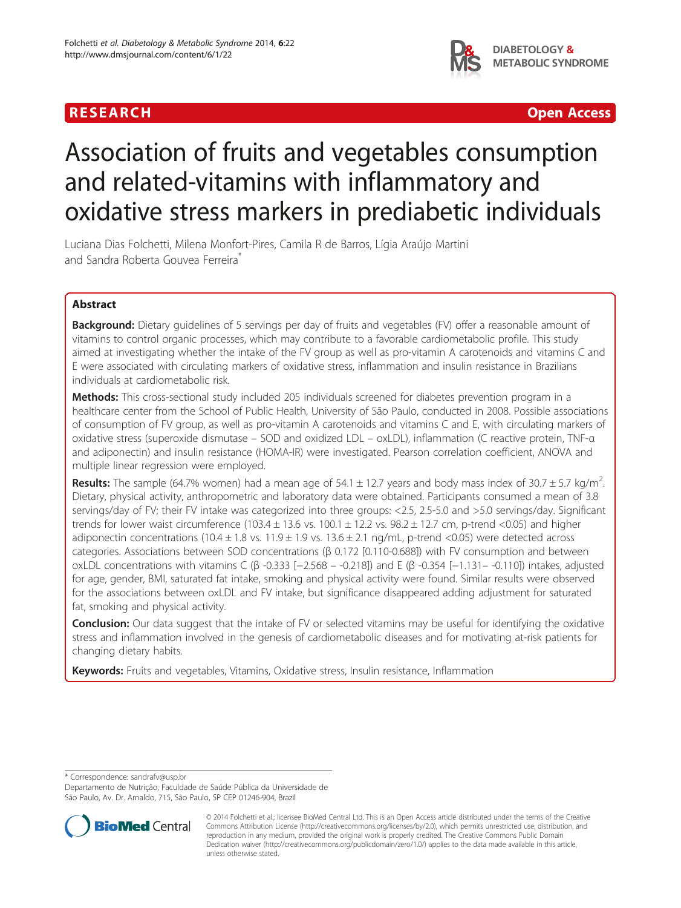# R E S EAR CH Open Access



# Association of fruits and vegetables consumption and related-vitamins with inflammatory and oxidative stress markers in prediabetic individuals

Luciana Dias Folchetti, Milena Monfort-Pires, Camila R de Barros, Lígia Araújo Martini and Sandra Roberta Gouvea Ferreira<sup>\*</sup>

# Abstract

Background: Dietary guidelines of 5 servings per day of fruits and vegetables (FV) offer a reasonable amount of vitamins to control organic processes, which may contribute to a favorable cardiometabolic profile. This study aimed at investigating whether the intake of the FV group as well as pro-vitamin A carotenoids and vitamins C and E were associated with circulating markers of oxidative stress, inflammation and insulin resistance in Brazilians individuals at cardiometabolic risk.

Methods: This cross-sectional study included 205 individuals screened for diabetes prevention program in a healthcare center from the School of Public Health, University of São Paulo, conducted in 2008. Possible associations of consumption of FV group, as well as pro-vitamin A carotenoids and vitamins C and E, with circulating markers of oxidative stress (superoxide dismutase – SOD and oxidized LDL – oxLDL), inflammation (C reactive protein, TNF-α and adiponectin) and insulin resistance (HOMA-IR) were investigated. Pearson correlation coefficient, ANOVA and multiple linear regression were employed.

**Results:** The sample (64.7% women) had a mean age of 54.1  $\pm$  12.7 years and body mass index of 30.7  $\pm$  5.7 kg/m<sup>2</sup>. . Dietary, physical activity, anthropometric and laboratory data were obtained. Participants consumed a mean of 3.8 servings/day of FV; their FV intake was categorized into three groups: <2.5, 2.5-5.0 and >5.0 servings/day. Significant trends for lower waist circumference (103.4  $\pm$  13.6 vs. 100.1  $\pm$  12.2 vs. 98.2  $\pm$  12.7 cm, p-trend <0.05) and higher adiponectin concentrations (10.4  $\pm$  1.8 vs. 11.9  $\pm$  1.9 vs. 13.6  $\pm$  2.1 ng/mL, p-trend <0.05) were detected across categories. Associations between SOD concentrations (β 0.172 [0.110-0.688]) with FV consumption and between oxLDL concentrations with vitamins C (β -0.333 [−2.568 – -0.218]) and E (β -0.354 [−1.131– -0.110]) intakes, adjusted for age, gender, BMI, saturated fat intake, smoking and physical activity were found. Similar results were observed for the associations between oxLDL and FV intake, but significance disappeared adding adjustment for saturated fat, smoking and physical activity.

Conclusion: Our data suggest that the intake of FV or selected vitamins may be useful for identifying the oxidative stress and inflammation involved in the genesis of cardiometabolic diseases and for motivating at-risk patients for changing dietary habits.

Keywords: Fruits and vegetables, Vitamins, Oxidative stress, Insulin resistance, Inflammation

\* Correspondence: [sandrafv@usp.br](mailto:sandrafv@usp.br)

Departamento de Nutrição, Faculdade de Saúde Pública da Universidade de São Paulo, Av. Dr. Arnaldo, 715, São Paulo, SP CEP 01246-904, Brazil



<sup>© 2014</sup> Folchetti et al.; licensee BioMed Central Ltd. This is an Open Access article distributed under the terms of the Creative Commons Attribution License [\(http://creativecommons.org/licenses/by/2.0\)](http://creativecommons.org/licenses/by/2.0), which permits unrestricted use, distribution, and reproduction in any medium, provided the original work is properly credited. The Creative Commons Public Domain Dedication waiver [\(http://creativecommons.org/publicdomain/zero/1.0/](http://creativecommons.org/publicdomain/zero/1.0/)) applies to the data made available in this article, unless otherwise stated.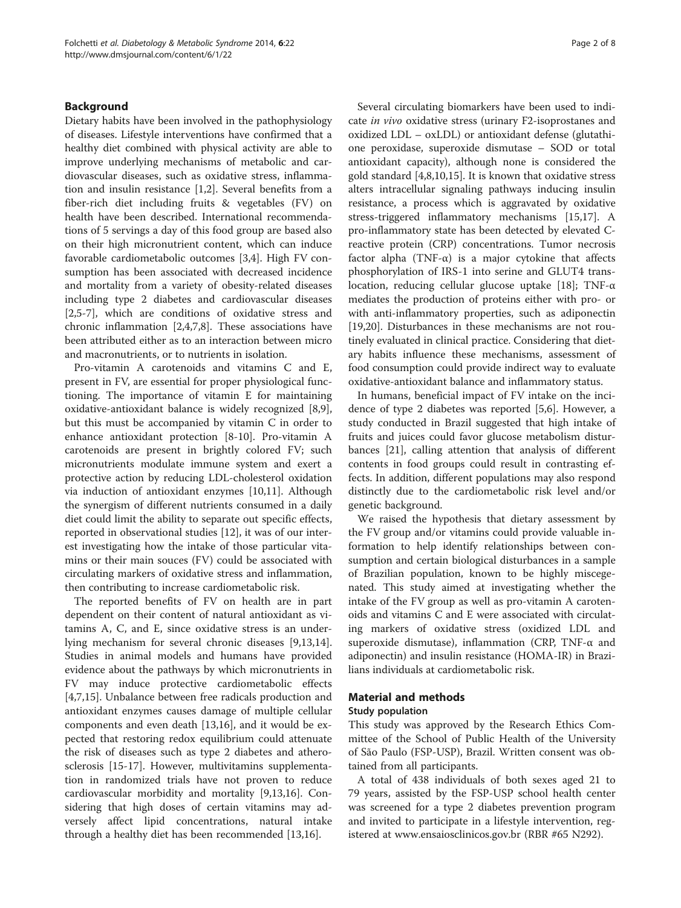# Background

Dietary habits have been involved in the pathophysiology of diseases. Lifestyle interventions have confirmed that a healthy diet combined with physical activity are able to improve underlying mechanisms of metabolic and cardiovascular diseases, such as oxidative stress, inflammation and insulin resistance [\[1](#page-6-0),[2](#page-6-0)]. Several benefits from a fiber-rich diet including fruits & vegetables (FV) on health have been described. International recommendations of 5 servings a day of this food group are based also on their high micronutrient content, which can induce favorable cardiometabolic outcomes [\[3,4](#page-6-0)]. High FV consumption has been associated with decreased incidence and mortality from a variety of obesity-related diseases including type 2 diabetes and cardiovascular diseases [[2,5-7](#page-6-0)], which are conditions of oxidative stress and chronic inflammation [\[2,4,7](#page-6-0),[8](#page-6-0)]. These associations have been attributed either as to an interaction between micro and macronutrients, or to nutrients in isolation.

Pro-vitamin A carotenoids and vitamins C and E, present in FV, are essential for proper physiological functioning. The importance of vitamin E for maintaining oxidative-antioxidant balance is widely recognized [\[8,9](#page-6-0)], but this must be accompanied by vitamin C in order to enhance antioxidant protection [[8-10\]](#page-6-0). Pro-vitamin A carotenoids are present in brightly colored FV; such micronutrients modulate immune system and exert a protective action by reducing LDL-cholesterol oxidation via induction of antioxidant enzymes [[10,11\]](#page-6-0). Although the synergism of different nutrients consumed in a daily diet could limit the ability to separate out specific effects, reported in observational studies [\[12\]](#page-6-0), it was of our interest investigating how the intake of those particular vitamins or their main souces (FV) could be associated with circulating markers of oxidative stress and inflammation, then contributing to increase cardiometabolic risk.

The reported benefits of FV on health are in part dependent on their content of natural antioxidant as vitamins A, C, and E, since oxidative stress is an underlying mechanism for several chronic diseases [\[9,13,14](#page-6-0)]. Studies in animal models and humans have provided evidence about the pathways by which micronutrients in FV may induce protective cardiometabolic effects [[4,7,15\]](#page-6-0). Unbalance between free radicals production and antioxidant enzymes causes damage of multiple cellular components and even death [\[13,16](#page-6-0)], and it would be expected that restoring redox equilibrium could attenuate the risk of diseases such as type 2 diabetes and atherosclerosis [\[15](#page-6-0)-[17\]](#page-6-0). However, multivitamins supplementation in randomized trials have not proven to reduce cardiovascular morbidity and mortality [[9,13,16](#page-6-0)]. Considering that high doses of certain vitamins may adversely affect lipid concentrations, natural intake through a healthy diet has been recommended [[13,16\]](#page-6-0).

Several circulating biomarkers have been used to indicate in vivo oxidative stress (urinary F2-isoprostanes and oxidized LDL – oxLDL) or antioxidant defense (glutathione peroxidase, superoxide dismutase – SOD or total antioxidant capacity), although none is considered the gold standard [[4,8,10,15\]](#page-6-0). It is known that oxidative stress alters intracellular signaling pathways inducing insulin resistance, a process which is aggravated by oxidative stress-triggered inflammatory mechanisms [\[15,17](#page-6-0)]. A pro-inflammatory state has been detected by elevated Creactive protein (CRP) concentrations. Tumor necrosis factor alpha (TNF- $\alpha$ ) is a major cytokine that affects phosphorylation of IRS-1 into serine and GLUT4 translocation, reducing cellular glucose uptake [\[18](#page-6-0)]; TNF-α mediates the production of proteins either with pro- or with anti-inflammatory properties, such as adiponectin [[19,20\]](#page-6-0). Disturbances in these mechanisms are not routinely evaluated in clinical practice. Considering that dietary habits influence these mechanisms, assessment of food consumption could provide indirect way to evaluate oxidative-antioxidant balance and inflammatory status.

In humans, beneficial impact of FV intake on the incidence of type 2 diabetes was reported [\[5,6](#page-6-0)]. However, a study conducted in Brazil suggested that high intake of fruits and juices could favor glucose metabolism disturbances [\[21](#page-6-0)], calling attention that analysis of different contents in food groups could result in contrasting effects. In addition, different populations may also respond distinctly due to the cardiometabolic risk level and/or genetic background.

We raised the hypothesis that dietary assessment by the FV group and/or vitamins could provide valuable information to help identify relationships between consumption and certain biological disturbances in a sample of Brazilian population, known to be highly miscegenated. This study aimed at investigating whether the intake of the FV group as well as pro-vitamin A carotenoids and vitamins C and E were associated with circulating markers of oxidative stress (oxidized LDL and superoxide dismutase), inflammation (CRP, TNF-α and adiponectin) and insulin resistance (HOMA-IR) in Brazilians individuals at cardiometabolic risk.

# Material and methods

# Study population

This study was approved by the Research Ethics Committee of the School of Public Health of the University of São Paulo (FSP-USP), Brazil. Written consent was obtained from all participants.

A total of 438 individuals of both sexes aged 21 to 79 years, assisted by the FSP-USP school health center was screened for a type 2 diabetes prevention program and invited to participate in a lifestyle intervention, registered at [www.ensaiosclinicos.gov.br](http://www.ensaiosclinicos.gov.br) (RBR #65 N292).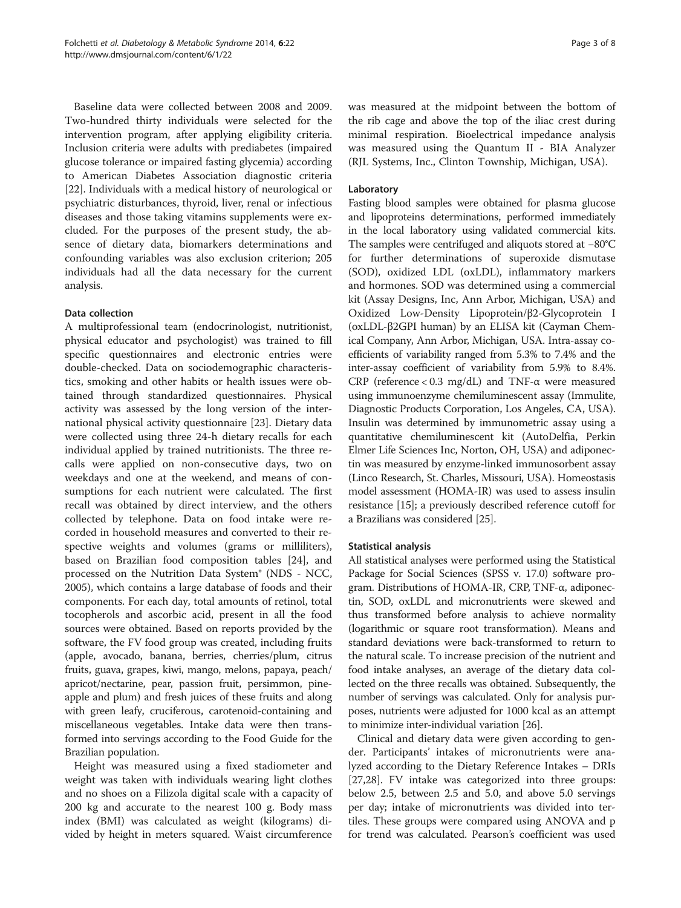Baseline data were collected between 2008 and 2009. Two-hundred thirty individuals were selected for the intervention program, after applying eligibility criteria. Inclusion criteria were adults with prediabetes (impaired glucose tolerance or impaired fasting glycemia) according to American Diabetes Association diagnostic criteria [[22\]](#page-6-0). Individuals with a medical history of neurological or psychiatric disturbances, thyroid, liver, renal or infectious diseases and those taking vitamins supplements were excluded. For the purposes of the present study, the absence of dietary data, biomarkers determinations and confounding variables was also exclusion criterion; 205 individuals had all the data necessary for the current analysis.

# Data collection

A multiprofessional team (endocrinologist, nutritionist, physical educator and psychologist) was trained to fill specific questionnaires and electronic entries were double-checked. Data on sociodemographic characteristics, smoking and other habits or health issues were obtained through standardized questionnaires. Physical activity was assessed by the long version of the international physical activity questionnaire [\[23](#page-6-0)]. Dietary data were collected using three 24-h dietary recalls for each individual applied by trained nutritionists. The three recalls were applied on non-consecutive days, two on weekdays and one at the weekend, and means of consumptions for each nutrient were calculated. The first recall was obtained by direct interview, and the others collected by telephone. Data on food intake were recorded in household measures and converted to their respective weights and volumes (grams or milliliters), based on Brazilian food composition tables [[24\]](#page-6-0), and processed on the Nutrition Data System® (NDS - NCC, 2005), which contains a large database of foods and their components. For each day, total amounts of retinol, total tocopherols and ascorbic acid, present in all the food sources were obtained. Based on reports provided by the software, the FV food group was created, including fruits (apple, avocado, banana, berries, cherries/plum, citrus fruits, guava, grapes, kiwi, mango, melons, papaya, peach/ apricot/nectarine, pear, passion fruit, persimmon, pineapple and plum) and fresh juices of these fruits and along with green leafy, cruciferous, carotenoid-containing and miscellaneous vegetables. Intake data were then transformed into servings according to the Food Guide for the Brazilian population.

Height was measured using a fixed stadiometer and weight was taken with individuals wearing light clothes and no shoes on a Filizola digital scale with a capacity of 200 kg and accurate to the nearest 100 g. Body mass index (BMI) was calculated as weight (kilograms) divided by height in meters squared. Waist circumference was measured at the midpoint between the bottom of the rib cage and above the top of the iliac crest during minimal respiration. Bioelectrical impedance analysis was measured using the Quantum II - BIA Analyzer (RJL Systems, Inc., Clinton Township, Michigan, USA).

# Laboratory

Fasting blood samples were obtained for plasma glucose and lipoproteins determinations, performed immediately in the local laboratory using validated commercial kits. The samples were centrifuged and aliquots stored at −80°C for further determinations of superoxide dismutase (SOD), oxidized LDL (oxLDL), inflammatory markers and hormones. SOD was determined using a commercial kit (Assay Designs, Inc, Ann Arbor, Michigan, USA) and Oxidized Low-Density Lipoprotein/β2-Glycoprotein I (oxLDL-β2GPI human) by an ELISA kit (Cayman Chemical Company, Ann Arbor, Michigan, USA. Intra-assay coefficients of variability ranged from 5.3% to 7.4% and the inter-assay coefficient of variability from 5.9% to 8.4%. CRP (reference <  $0.3 \text{ mg/dL}$ ) and TNF- $\alpha$  were measured using immunoenzyme chemiluminescent assay (Immulite, Diagnostic Products Corporation, Los Angeles, CA, USA). Insulin was determined by immunometric assay using a quantitative chemiluminescent kit (AutoDelfia, Perkin Elmer Life Sciences Inc, Norton, OH, USA) and adiponectin was measured by enzyme-linked immunosorbent assay (Linco Research, St. Charles, Missouri, USA). Homeostasis model assessment (HOMA-IR) was used to assess insulin resistance [\[15\]](#page-6-0); a previously described reference cutoff for a Brazilians was considered [\[25\]](#page-6-0).

#### Statistical analysis

All statistical analyses were performed using the Statistical Package for Social Sciences (SPSS v. 17.0) software program. Distributions of HOMA-IR, CRP, TNF-α, adiponectin, SOD, oxLDL and micronutrients were skewed and thus transformed before analysis to achieve normality (logarithmic or square root transformation). Means and standard deviations were back-transformed to return to the natural scale. To increase precision of the nutrient and food intake analyses, an average of the dietary data collected on the three recalls was obtained. Subsequently, the number of servings was calculated. Only for analysis purposes, nutrients were adjusted for 1000 kcal as an attempt to minimize inter-individual variation [\[26\]](#page-6-0).

Clinical and dietary data were given according to gender. Participants' intakes of micronutrients were analyzed according to the Dietary Reference Intakes – DRIs [[27,](#page-6-0)[28\]](#page-7-0). FV intake was categorized into three groups: below 2.5, between 2.5 and 5.0, and above 5.0 servings per day; intake of micronutrients was divided into tertiles. These groups were compared using ANOVA and p for trend was calculated. Pearson's coefficient was used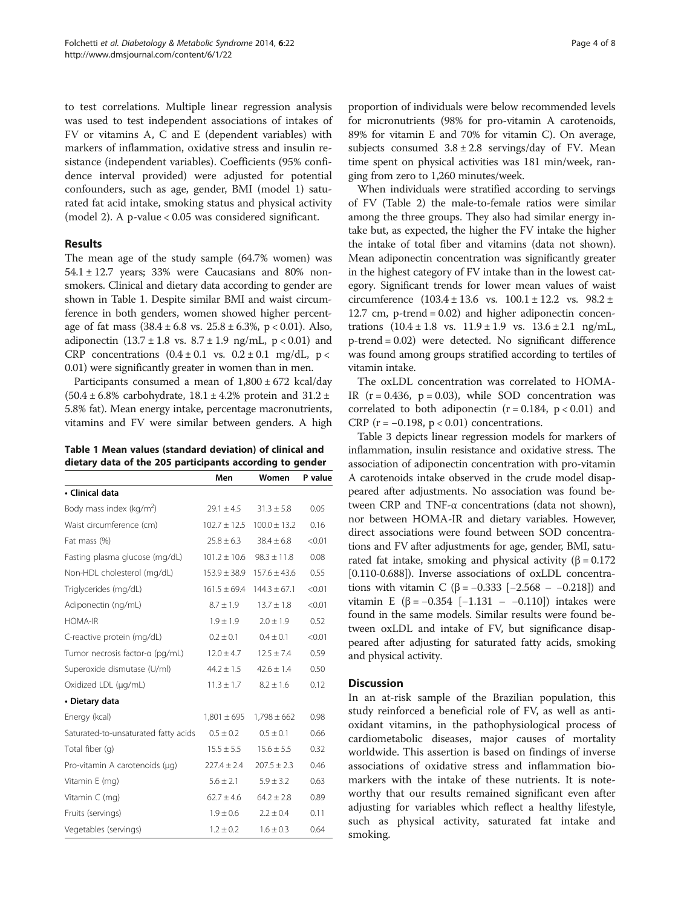to test correlations. Multiple linear regression analysis was used to test independent associations of intakes of FV or vitamins A, C and E (dependent variables) with markers of inflammation, oxidative stress and insulin resistance (independent variables). Coefficients (95% confidence interval provided) were adjusted for potential confounders, such as age, gender, BMI (model 1) saturated fat acid intake, smoking status and physical activity (model 2). A p-value < 0.05 was considered significant.

# Results

The mean age of the study sample (64.7% women) was  $54.1 \pm 12.7$  years; 33% were Caucasians and 80% nonsmokers. Clinical and dietary data according to gender are shown in Table 1. Despite similar BMI and waist circumference in both genders, women showed higher percentage of fat mass  $(38.4 \pm 6.8 \text{ vs. } 25.8 \pm 6.3\% , p < 0.01)$ . Also, adiponectin  $(13.7 \pm 1.8 \text{ vs. } 8.7 \pm 1.9 \text{ ng/mL}, p < 0.01)$  and CRP concentrations  $(0.4 \pm 0.1 \text{ vs. } 0.2 \pm 0.1 \text{ mg/dL}, \text{ p}$ 0.01) were significantly greater in women than in men.

Participants consumed a mean of  $1,800 \pm 672$  kcal/day  $(50.4 \pm 6.8\%$  carbohydrate,  $18.1 \pm 4.2\%$  protein and  $31.2 \pm 1.2\%$ 5.8% fat). Mean energy intake, percentage macronutrients, vitamins and FV were similar between genders. A high

Table 1 Mean values (standard deviation) of clinical and dietary data of the 205 participants according to gender

|                                      | Men              | Women            | P value |
|--------------------------------------|------------------|------------------|---------|
| · Clinical data                      |                  |                  |         |
| Body mass index (kg/m <sup>2</sup> ) | $29.1 \pm 4.5$   | $31.3 \pm 5.8$   | 0.05    |
| Waist circumference (cm)             | $102.7 \pm 12.5$ | $100.0 \pm 13.2$ | 0.16    |
| Fat mass (%)                         | $25.8 \pm 6.3$   | $38.4 \pm 6.8$   | < 0.01  |
| Fasting plasma glucose (mg/dL)       | $101.2 \pm 10.6$ | $98.3 \pm 11.8$  | 0.08    |
| Non-HDL cholesterol (mg/dL)          | $153.9 \pm 38.9$ | $157.6 \pm 43.6$ | 0.55    |
| Triglycerides (mg/dL)                | $161.5 \pm 69.4$ | $144.3 \pm 67.1$ | < 0.01  |
| Adiponectin (ng/mL)                  | $8.7 \pm 1.9$    | $13.7 \pm 1.8$   | < 0.01  |
| <b>HOMA-IR</b>                       | $1.9 \pm 1.9$    | $2.0 \pm 1.9$    | 0.52    |
| C-reactive protein (mg/dL)           | $0.2 \pm 0.1$    | $0.4 \pm 0.1$    | < 0.01  |
| Tumor necrosis factor-a (pg/mL)      | $12.0 \pm 4.7$   | $12.5 \pm 7.4$   | 0.59    |
| Superoxide dismutase (U/ml)          | $44.2 \pm 1.5$   | $42.6 \pm 1.4$   | 0.50    |
| Oxidized LDL (µg/mL)                 | $11.3 \pm 1.7$   | $8.2 + 1.6$      | 0.12    |
| • Dietary data                       |                  |                  |         |
| Energy (kcal)                        | $1,801 \pm 695$  | $1,798 \pm 662$  | 0.98    |
| Saturated-to-unsaturated fatty acids | $0.5 \pm 0.2$    | $0.5 \pm 0.1$    | 0.66    |
| Total fiber (q)                      | $15.5 \pm 5.5$   | $15.6 \pm 5.5$   | 0.32    |
| Pro-vitamin A carotenoids (µq)       | $227.4 \pm 2.4$  | $207.5 \pm 2.3$  | 0.46    |
| Vitamin E (mg)                       | $5.6 \pm 2.1$    | $5.9 \pm 3.2$    | 0.63    |
| Vitamin C (mg)                       | $62.7 \pm 4.6$   | $64.2 \pm 2.8$   | 0.89    |
| Fruits (servings)                    | $1.9 \pm 0.6$    | $2.2 \pm 0.4$    | 0.11    |
| Vegetables (servings)                | $1.2 \pm 0.2$    | $1.6 \pm 0.3$    | 0.64    |

proportion of individuals were below recommended levels for micronutrients (98% for pro-vitamin A carotenoids, 89% for vitamin E and 70% for vitamin C). On average, subjects consumed  $3.8 \pm 2.8$  servings/day of FV. Mean time spent on physical activities was 181 min/week, ranging from zero to 1,260 minutes/week.

When individuals were stratified according to servings of FV (Table [2](#page-4-0)) the male-to-female ratios were similar among the three groups. They also had similar energy intake but, as expected, the higher the FV intake the higher the intake of total fiber and vitamins (data not shown). Mean adiponectin concentration was significantly greater in the highest category of FV intake than in the lowest category. Significant trends for lower mean values of waist circumference  $(103.4 \pm 13.6 \text{ vs. } 100.1 \pm 12.2 \text{ vs. } 98.2 \pm 12.2 \text{ vs. } 98.2 \pm 12.2 \text{ vs. } 98.2 \pm 12.2 \text{ vs. } 98.2 \pm 12.2 \text{ vs. } 98.2 \pm 12.2 \text{ vs. } 98.2 \pm 12.2 \text{ vs. } 98.2 \pm 12.2 \text{ vs. } 98.2 \pm 12.2 \text{ vs. } 98.2 \pm 12.2 \text{ vs. } 98.2 \$ 12.7 cm, p-trend = 0.02) and higher adiponectin concentrations  $(10.4 \pm 1.8 \text{ vs. } 11.9 \pm 1.9 \text{ vs. } 13.6 \pm 2.1 \text{ ng/mL}$ , p-trend = 0.02) were detected. No significant difference was found among groups stratified according to tertiles of vitamin intake.

The oxLDL concentration was correlated to HOMA-IR  $(r = 0.436, p = 0.03)$ , while SOD concentration was correlated to both adiponectin  $(r = 0.184, p < 0.01)$  and CRP ( $r = -0.198$ ,  $p < 0.01$ ) concentrations.

Table [3](#page-5-0) depicts linear regression models for markers of inflammation, insulin resistance and oxidative stress. The association of adiponectin concentration with pro-vitamin A carotenoids intake observed in the crude model disappeared after adjustments. No association was found between CRP and TNF-α concentrations (data not shown), nor between HOMA-IR and dietary variables. However, direct associations were found between SOD concentrations and FV after adjustments for age, gender, BMI, saturated fat intake, smoking and physical activity (β =  $0.172$ ) [0.110-0.688]). Inverse associations of oxLDL concentrations with vitamin C (β = -0.333 [-2.568 – -0.218]) and vitamin E (β = −0.354 [−1.131 – −0.110]) intakes were found in the same models. Similar results were found between oxLDL and intake of FV, but significance disappeared after adjusting for saturated fatty acids, smoking and physical activity.

#### **Discussion**

In an at-risk sample of the Brazilian population, this study reinforced a beneficial role of FV, as well as antioxidant vitamins, in the pathophysiological process of cardiometabolic diseases, major causes of mortality worldwide. This assertion is based on findings of inverse associations of oxidative stress and inflammation biomarkers with the intake of these nutrients. It is noteworthy that our results remained significant even after adjusting for variables which reflect a healthy lifestyle, such as physical activity, saturated fat intake and smoking.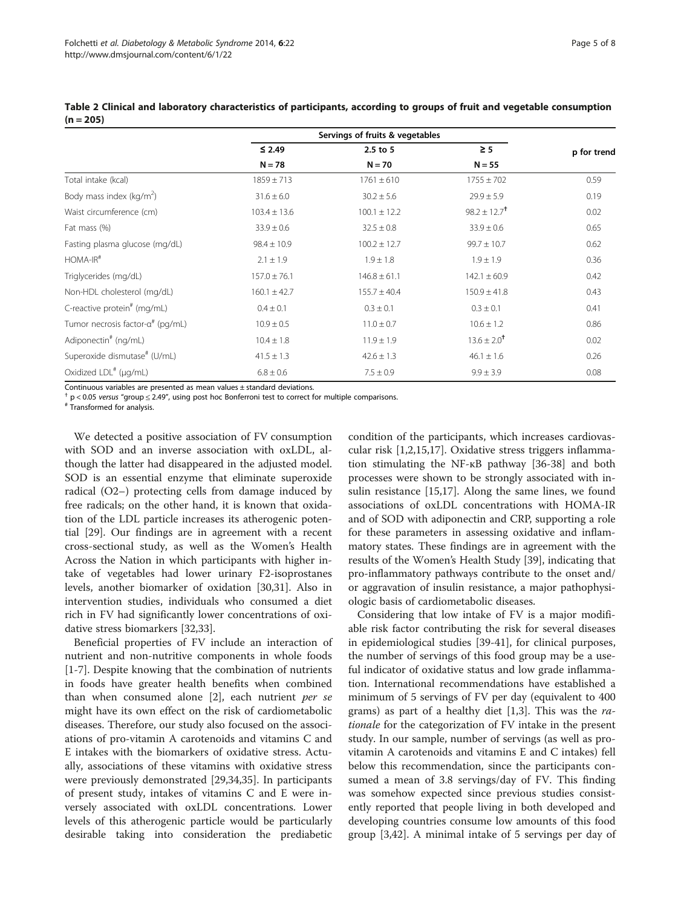|                                              | Servings of fruits & vegetables |                  |                              |             |
|----------------------------------------------|---------------------------------|------------------|------------------------------|-------------|
|                                              | $\leq 2.49$                     | 2.5 to 5         | $\geq$ 5<br>$N = 55$         | p for trend |
|                                              | $N = 78$                        | $N = 70$         |                              |             |
| Total intake (kcal)                          | $1859 \pm 713$                  | $1761 \pm 610$   | $1755 \pm 702$               | 0.59        |
| Body mass index ( $kg/m2$ )                  | $31.6 \pm 6.0$                  | $30.2 \pm 5.6$   | $29.9 \pm 5.9$               | 0.19        |
| Waist circumference (cm)                     | $103.4 \pm 13.6$                | $100.1 \pm 12.2$ | $98.2 \pm 12.7$ <sup>†</sup> | 0.02        |
| Fat mass (%)                                 | $33.9 \pm 0.6$                  | $32.5 \pm 0.8$   | $33.9 \pm 0.6$               | 0.65        |
| Fasting plasma glucose (mg/dL)               | $98.4 \pm 10.9$                 | $100.2 \pm 12.7$ | $99.7 \pm 10.7$              | 0.62        |
| $HOMA-IR#$                                   | $2.1 \pm 1.9$                   | $1.9 \pm 1.8$    | $1.9 \pm 1.9$                | 0.36        |
| Triglycerides (mg/dL)                        | $157.0 \pm 76.1$                | $146.8 \pm 61.1$ | $142.1 \pm 60.9$             | 0.42        |
| Non-HDL cholesterol (mg/dL)                  | $160.1 \pm 42.7$                | $155.7 \pm 40.4$ | $150.9 \pm 41.8$             | 0.43        |
| C-reactive protein <sup>#</sup> (mg/mL)      | $0.4 \pm 0.1$                   | $0.3 \pm 0.1$    | $0.3 \pm 0.1$                | 0.41        |
| Tumor necrosis factor-a <sup>#</sup> (pg/mL) | $10.9 \pm 0.5$                  | $11.0 \pm 0.7$   | $10.6 \pm 1.2$               | 0.86        |
| Adiponectin <sup>#</sup> (ng/mL)             | $10.4 \pm 1.8$                  | $11.9 \pm 1.9$   | $13.6 \pm 2.0^{\dagger}$     | 0.02        |
| Superoxide dismutase <sup>#</sup> (U/mL)     | $41.5 \pm 1.3$                  | $42.6 \pm 1.3$   | $46.1 \pm 1.6$               | 0.26        |
| Oxidized LDL <sup>#</sup> (µg/mL)            | $6.8 \pm 0.6$                   | $7.5 \pm 0.9$    | $9.9 \pm 3.9$                | 0.08        |

<span id="page-4-0"></span>Table 2 Clinical and laboratory characteristics of participants, according to groups of fruit and vegetable consumption  $(n = 205)$ 

Continuous variables are presented as mean values ± standard deviations.

† p < 0.05 *versus* "group ≤ 2.49", using post hoc Bonferroni test to correct for multiple comparisons.<br># Transformed for analysis.

We detected a positive association of FV consumption with SOD and an inverse association with oxLDL, although the latter had disappeared in the adjusted model. SOD is an essential enzyme that eliminate superoxide radical (O2–) protecting cells from damage induced by free radicals; on the other hand, it is known that oxidation of the LDL particle increases its atherogenic potential [\[29](#page-7-0)]. Our findings are in agreement with a recent cross-sectional study, as well as the Women's Health Across the Nation in which participants with higher intake of vegetables had lower urinary F2-isoprostanes levels, another biomarker of oxidation [[30,31\]](#page-7-0). Also in intervention studies, individuals who consumed a diet rich in FV had significantly lower concentrations of oxidative stress biomarkers [\[32,33](#page-7-0)].

Beneficial properties of FV include an interaction of nutrient and non-nutritive components in whole foods [[1-7](#page-6-0)]. Despite knowing that the combination of nutrients in foods have greater health benefits when combined than when consumed alone [[2\]](#page-6-0), each nutrient *per se* might have its own effect on the risk of cardiometabolic diseases. Therefore, our study also focused on the associations of pro-vitamin A carotenoids and vitamins C and E intakes with the biomarkers of oxidative stress. Actually, associations of these vitamins with oxidative stress were previously demonstrated [[29](#page-7-0),[34](#page-7-0),[35](#page-7-0)]. In participants of present study, intakes of vitamins C and E were inversely associated with oxLDL concentrations. Lower levels of this atherogenic particle would be particularly desirable taking into consideration the prediabetic

condition of the participants, which increases cardiovascular risk [[1,2,15,17\]](#page-6-0). Oxidative stress triggers inflammation stimulating the NF-кB pathway [\[36](#page-7-0)-[38\]](#page-7-0) and both processes were shown to be strongly associated with insulin resistance [[15,17\]](#page-6-0). Along the same lines, we found associations of oxLDL concentrations with HOMA-IR and of SOD with adiponectin and CRP, supporting a role for these parameters in assessing oxidative and inflammatory states. These findings are in agreement with the results of the Women's Health Study [\[39](#page-7-0)], indicating that pro-inflammatory pathways contribute to the onset and/ or aggravation of insulin resistance, a major pathophysiologic basis of cardiometabolic diseases.

Considering that low intake of FV is a major modifiable risk factor contributing the risk for several diseases in epidemiological studies [\[39](#page-7-0)-[41\]](#page-7-0), for clinical purposes, the number of servings of this food group may be a useful indicator of oxidative status and low grade inflammation. International recommendations have established a minimum of 5 servings of FV per day (equivalent to 400 grams) as part of a healthy diet  $[1,3]$  $[1,3]$ . This was the rationale for the categorization of FV intake in the present study. In our sample, number of servings (as well as provitamin A carotenoids and vitamins E and C intakes) fell below this recommendation, since the participants consumed a mean of 3.8 servings/day of FV. This finding was somehow expected since previous studies consistently reported that people living in both developed and developing countries consume low amounts of this food group [[3,](#page-6-0)[42\]](#page-7-0). A minimal intake of 5 servings per day of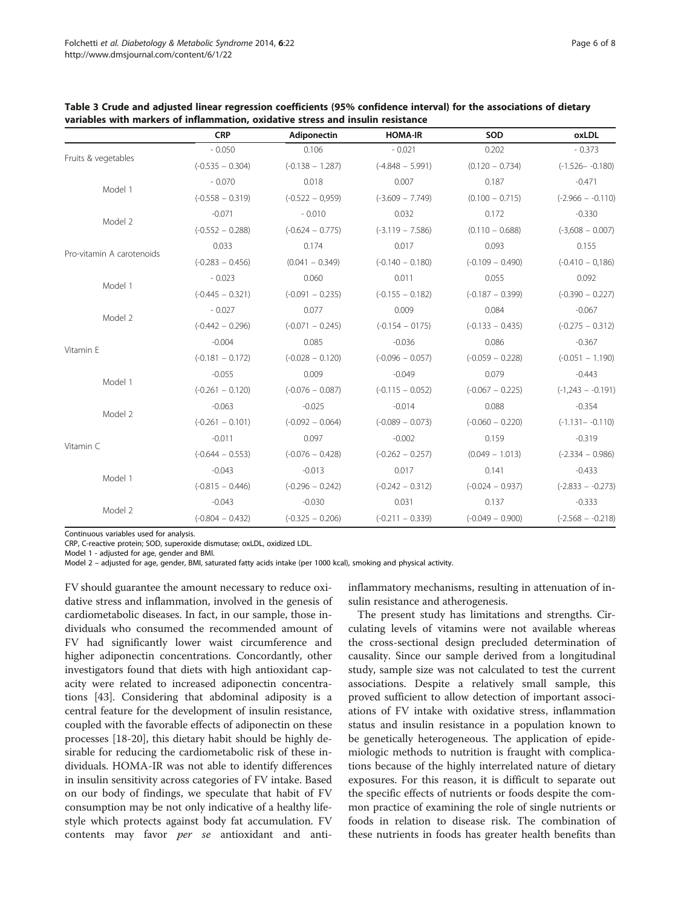|                           | <b>CRP</b>         | Adiponectin        | <b>HOMA-IR</b>     | SOD                | oxLDL               |
|---------------------------|--------------------|--------------------|--------------------|--------------------|---------------------|
| Fruits & vegetables       | $-0.050$           | 0.106              | $-0.021$           | 0.202              | $-0.373$            |
|                           | $(-0.535 - 0.304)$ | $(-0.138 - 1.287)$ | $(-4.848 - 5.991)$ | $(0.120 - 0.734)$  | $(-1.526 - -0.180)$ |
| Model 1                   | $-0.070$           | 0.018              | 0.007              | 0.187              | $-0.471$            |
|                           | $(-0.558 - 0.319)$ | $(-0.522 - 0.959)$ | $(-3.609 - 7.749)$ | $(0.100 - 0.715)$  | $(-2.966 - -0.110)$ |
| Model 2                   | $-0.071$           | $-0.010$           | 0.032              | 0.172              | $-0.330$            |
|                           | $(-0.552 - 0.288)$ | $(-0.624 - 0.775)$ | $(-3.119 - 7.586)$ | $(0.110 - 0.688)$  | $(-3,608 - 0.007)$  |
| Pro-vitamin A carotenoids | 0.033              | 0.174              | 0.017              | 0.093              | 0.155               |
|                           | $(-0.283 - 0.456)$ | $(0.041 - 0.349)$  | $(-0.140 - 0.180)$ | $(-0.109 - 0.490)$ | $(-0.410 - 0.186)$  |
| Model 1                   | $-0.023$           | 0.060              | 0.011              | 0.055              | 0.092               |
|                           | $(-0.445 - 0.321)$ | $(-0.091 - 0.235)$ | $(-0.155 - 0.182)$ | $(-0.187 - 0.399)$ | $(-0.390 - 0.227)$  |
| Model 2                   | $-0.027$           | 0.077              | 0.009              | 0.084              | $-0.067$            |
|                           | $(-0.442 - 0.296)$ | $(-0.071 - 0.245)$ | $(-0.154 - 0175)$  | $(-0.133 - 0.435)$ | $(-0.275 - 0.312)$  |
| Vitamin E                 | $-0.004$           | 0.085              | $-0.036$           | 0.086              | $-0.367$            |
|                           | $(-0.181 - 0.172)$ | $(-0.028 - 0.120)$ | $(-0.096 - 0.057)$ | $(-0.059 - 0.228)$ | $(-0.051 - 1.190)$  |
| Model 1                   | $-0.055$           | 0.009              | $-0.049$           | 0.079              | $-0.443$            |
|                           | $(-0.261 - 0.120)$ | $(-0.076 - 0.087)$ | $(-0.115 - 0.052)$ | $(-0.067 - 0.225)$ | $(-1,243 - -0.191)$ |
| Model 2                   | $-0.063$           | $-0.025$           | $-0.014$           | 0.088              | $-0.354$            |
|                           | $(-0.261 - 0.101)$ | $(-0.092 - 0.064)$ | $(-0.089 - 0.073)$ | $(-0.060 - 0.220)$ | $(-1.131 - -0.110)$ |
| Vitamin C                 | $-0.011$           | 0.097              | $-0.002$           | 0.159              | $-0.319$            |
|                           | $(-0.644 - 0.553)$ | $(-0.076 - 0.428)$ | $(-0.262 - 0.257)$ | $(0.049 - 1.013)$  | $(-2.334 - 0.986)$  |
| Model 1                   | $-0.043$           | $-0.013$           | 0.017              | 0.141              | $-0.433$            |
|                           | $(-0.815 - 0.446)$ | $(-0.296 - 0.242)$ | $(-0.242 - 0.312)$ | $(-0.024 - 0.937)$ | $(-2.833 - -0.273)$ |
| Model 2                   | $-0.043$           | $-0.030$           | 0.031              | 0.137              | $-0.333$            |
|                           | $(-0.804 - 0.432)$ | $(-0.325 - 0.206)$ | $(-0.211 - 0.339)$ | $(-0.049 - 0.900)$ | $(-2.568 - -0.218)$ |

<span id="page-5-0"></span>

| Table 3 Crude and adjusted linear regression coefficients (95% confidence interval) for the associations of dietary |  |
|---------------------------------------------------------------------------------------------------------------------|--|
| variables with markers of inflammation, oxidative stress and insulin resistance                                     |  |

Continuous variables used for analysis.

CRP, C-reactive protein; SOD, superoxide dismutase; oxLDL, oxidized LDL.

Model 1 - adjusted for age, gender and BMI.

Model 2 – adjusted for age, gender, BMI, saturated fatty acids intake (per 1000 kcal), smoking and physical activity.

FV should guarantee the amount necessary to reduce oxidative stress and inflammation, involved in the genesis of cardiometabolic diseases. In fact, in our sample, those individuals who consumed the recommended amount of FV had significantly lower waist circumference and higher adiponectin concentrations. Concordantly, other investigators found that diets with high antioxidant capacity were related to increased adiponectin concentrations [[43](#page-7-0)]. Considering that abdominal adiposity is a central feature for the development of insulin resistance, coupled with the favorable effects of adiponectin on these processes [[18](#page-6-0)-[20\]](#page-6-0), this dietary habit should be highly desirable for reducing the cardiometabolic risk of these individuals. HOMA-IR was not able to identify differences in insulin sensitivity across categories of FV intake. Based on our body of findings, we speculate that habit of FV consumption may be not only indicative of a healthy lifestyle which protects against body fat accumulation. FV contents may favor per se antioxidant and anti-

inflammatory mechanisms, resulting in attenuation of insulin resistance and atherogenesis.

The present study has limitations and strengths. Circulating levels of vitamins were not available whereas the cross-sectional design precluded determination of causality. Since our sample derived from a longitudinal study, sample size was not calculated to test the current associations. Despite a relatively small sample, this proved sufficient to allow detection of important associations of FV intake with oxidative stress, inflammation status and insulin resistance in a population known to be genetically heterogeneous. The application of epidemiologic methods to nutrition is fraught with complications because of the highly interrelated nature of dietary exposures. For this reason, it is difficult to separate out the specific effects of nutrients or foods despite the common practice of examining the role of single nutrients or foods in relation to disease risk. The combination of these nutrients in foods has greater health benefits than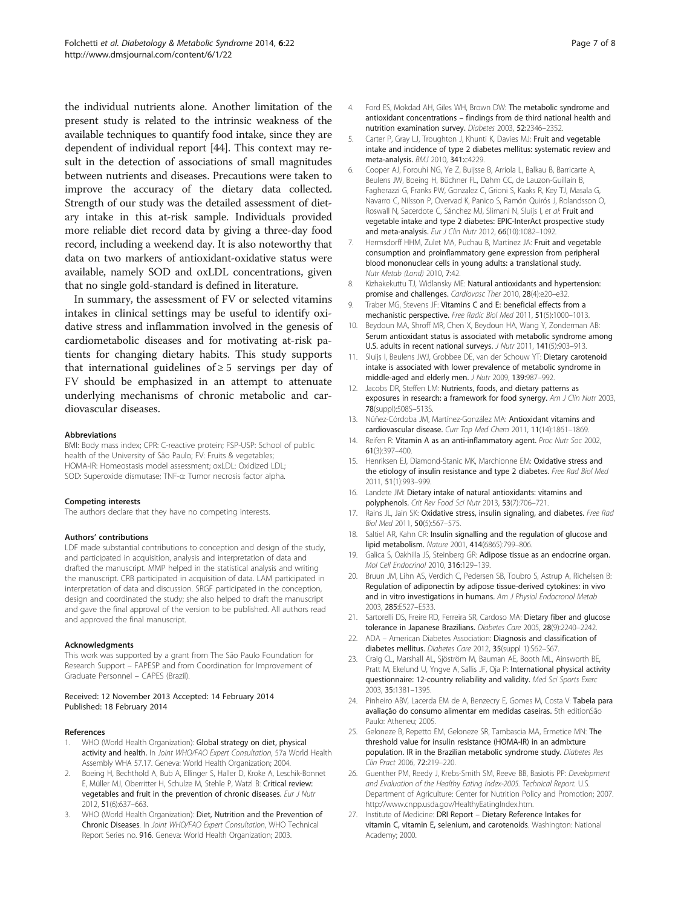<span id="page-6-0"></span>the individual nutrients alone. Another limitation of the present study is related to the intrinsic weakness of the available techniques to quantify food intake, since they are dependent of individual report [[44](#page-7-0)]. This context may result in the detection of associations of small magnitudes between nutrients and diseases. Precautions were taken to improve the accuracy of the dietary data collected. Strength of our study was the detailed assessment of dietary intake in this at-risk sample. Individuals provided more reliable diet record data by giving a three-day food record, including a weekend day. It is also noteworthy that data on two markers of antioxidant-oxidative status were available, namely SOD and oxLDL concentrations, given that no single gold-standard is defined in literature.

In summary, the assessment of FV or selected vitamins intakes in clinical settings may be useful to identify oxidative stress and inflammation involved in the genesis of cardiometabolic diseases and for motivating at-risk patients for changing dietary habits. This study supports that international guidelines of  $\geq$  5 servings per day of FV should be emphasized in an attempt to attenuate underlying mechanisms of chronic metabolic and cardiovascular diseases.

#### Abbreviations

BMI: Body mass index; CPR: C-reactive protein; FSP-USP: School of public health of the University of São Paulo; FV: Fruits & vegetables; HOMA-IR: Homeostasis model assessment; oxLDL: Oxidized LDL; SOD: Superoxide dismutase; TNF-α: Tumor necrosis factor alpha.

#### Competing interests

The authors declare that they have no competing interests.

#### Authors' contributions

LDF made substantial contributions to conception and design of the study, and participated in acquisition, analysis and interpretation of data and drafted the manuscript. MMP helped in the statistical analysis and writing the manuscript. CRB participated in acquisition of data. LAM participated in interpretation of data and discussion. SRGF participated in the conception, design and coordinated the study; she also helped to draft the manuscript and gave the final approval of the version to be published. All authors read and approved the final manuscript.

#### Acknowledgments

This work was supported by a grant from The São Paulo Foundation for Research Support – FAPESP and from Coordination for Improvement of Graduate Personnel – CAPES (Brazil).

#### Received: 12 November 2013 Accepted: 14 February 2014 Published: 18 February 2014

#### References

- WHO (World Health Organization): Global strategy on diet, physical activity and health. In Joint WHO/FAO Expert Consultation, 57a World Health Assembly WHA 57.17. Geneva: World Health Organization; 2004.
- 2. Boeing H, Bechthold A, Bub A, Ellinger S, Haller D, Kroke A, Leschik-Bonnet E, Müller MJ, Oberritter H, Schulze M, Stehle P, Watzl B: Critical review: vegetables and fruit in the prevention of chronic diseases. Eur J Nutr 2012, 51(6):637–663.
- WHO (World Health Organization): Diet, Nutrition and the Prevention of Chronic Diseases. In Joint WHO/FAO Expert Consultation, WHO Technical Report Series no. 916. Geneva: World Health Organization; 2003.
- 4. Ford ES, Mokdad AH, Giles WH, Brown DW: The metabolic syndrome and antioxidant concentrations – findings from de third national health and nutrition examination survey. Diabetes 2003, 52:2346–2352.
- 5. Carter P, Gray LJ, Troughton J, Khunti K, Davies MJ: Fruit and vegetable intake and incidence of type 2 diabetes mellitus: systematic review and meta-analysis. BMJ 2010, 341:c4229.
- 6. Cooper AJ, Forouhi NG, Ye Z, Buijsse B, Arriola L, Balkau B, Barricarte A, Beulens JW, Boeing H, Büchner FL, Dahm CC, de Lauzon-Guillain B, Fagherazzi G, Franks PW, Gonzalez C, Grioni S, Kaaks R, Key TJ, Masala G, Navarro C, Nilsson P, Overvad K, Panico S, Ramón Quirós J, Rolandsson O, Roswall N, Sacerdote C, Sánchez MJ, Slimani N, Sluijs I, et al: Fruit and vegetable intake and type 2 diabetes: EPIC-InterAct prospective study and meta-analysis. Eur J Clin Nutr 2012, 66(10):1082–1092.
- 7. Hermsdorff HHM, Zulet MA, Puchau B, Martínez JA: Fruit and vegetable consumption and proinflammatory gene expression from peripheral blood mononuclear cells in young adults: a translational study. Nutr Metab (Lond) 2010, 7:42.
- Kizhakekuttu TJ, Widlansky ME: Natural antioxidants and hypertension: promise and challenges. Cardiovasc Ther 2010, 28(4):e20–e32.
- 9. Traber MG, Stevens JF: Vitamins C and E: beneficial effects from a mechanistic perspective. Free Radic Biol Med 2011, 51(5):1000–1013.
- 10. Beydoun MA, Shroff MR, Chen X, Beydoun HA, Wang Y, Zonderman AB: Serum antioxidant status is associated with metabolic syndrome among U.S. adults in recent national surveys. J Nutr 2011, 141(5):903–913.
- 11. Sluijs I, Beulens JWJ, Grobbee DE, van der Schouw YT: Dietary carotenoid intake is associated with lower prevalence of metabolic syndrome in middle-aged and elderly men. J Nutr 2009, 139:987–992.
- 12. Jacobs DR, Steffen LM: Nutrients, foods, and dietary patterns as exposures in research: a framework for food synergy. Am J Clin Nutr 2003, 78(suppl):508S–513S.
- 13. Núñez-Córdoba JM, Martínez-González MA: Antioxidant vitamins and cardiovascular disease. Curr Top Med Chem 2011, 11(14):1861–1869.
- 14. Reifen R: Vitamin A as an anti-inflammatory agent. Proc Nutr Soc 2002, 61(3):397–400.
- 15. Henriksen EJ, Diamond-Stanic MK, Marchionne EM: Oxidative stress and the etiology of insulin resistance and type 2 diabetes. Free Rad Biol Med 2011, 51(1):993–999.
- 16. Landete JM: Dietary intake of natural antioxidants: vitamins and polyphenols. Crit Rev Food Sci Nutr 2013, 53(7):706–721.
- 17. Rains JL, Jain SK: Oxidative stress, insulin signaling, and diabetes. Free Rad Biol Med 2011, 50(5):567–575.
- 18. Saltiel AR, Kahn CR: Insulin signalling and the regulation of glucose and lipid metabolism. Nature 2001, 414(6865):799–806.
- 19. Galica S, Oakhilla JS, Steinberg GR: Adipose tissue as an endocrine organ. Mol Cell Endocrinol 2010, 316:129–139.
- 20. Bruun JM, Lihn AS, Verdich C, Pedersen SB, Toubro S, Astrup A, Richelsen B: Regulation of adiponectin by adipose tissue-derived cytokines: in vivo and in vitro investigations in humans. Am J Physiol Endocronol Metab 2003, 285:E527–E533.
- 21. Sartorelli DS, Freire RD, Ferreira SR, Cardoso MA: Dietary fiber and glucose tolerance in Japanese Brazilians. Diabetes Care 2005, 28(9):2240–2242.
- 22. ADA American Diabetes Association: Diagnosis and classification of diabetes mellitus. Diabetes Care 2012, 35(suppl 1):S62–S67.
- 23. Craig CL, Marshall AL, Sjöström M, Bauman AE, Booth ML, Ainsworth BE, Pratt M, Ekelund U, Yngve A, Sallis JF, Oja P: International physical activity questionnaire: 12-country reliability and validity. Med Sci Sports Exerc 2003, 35:1381–1395.
- 24. Pinheiro ABV, Lacerda EM de A, Benzecry E, Gomes M, Costa V: Tabela para avaliação do consumo alimentar em medidas caseiras. 5th editionSão Paulo: Atheneu; 2005.
- 25. Geloneze B, Repetto EM, Geloneze SR, Tambascia MA, Ermetice MN: The threshold value for insulin resistance (HOMA-IR) in an admixture population. IR in the Brazilian metabolic syndrome study. Diabetes Res Clin Pract 2006, 72:219–220.
- 26. Guenther PM, Reedy J, Krebs-Smith SM, Reeve BB, Basiotis PP: Development and Evaluation of the Healthy Eating Index-2005. Technical Report. U.S. Department of Agriculture: Center for Nutrition Policy and Promotion; 2007. [http://www.cnpp.usda.gov/HealthyEatingIndex.htm.](http://www.cnpp.usda.gov/HealthyEatingIndex.htm)
- 27. Institute of Medicine: DRI Report Dietary Reference Intakes for vitamin C, vitamin E, selenium, and carotenoids. Washington: National Academy; 2000.